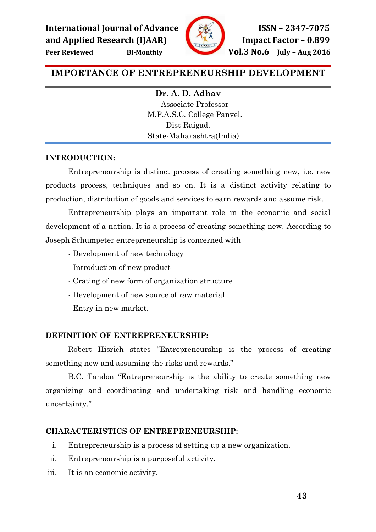

# IMPORTANCE OF ENTREPRENEURSHIP DEVELOPMENT

Dr. A. D. Adhav Associate Professor M.P.A.S.C. College Panvel. Dist-Raigad, State-Maharashtra(India)

# INTRODUCTION:

 Entrepreneurship is distinct process of creating something new, i.e. new products process, techniques and so on. It is a distinct activity relating to production, distribution of goods and services to earn rewards and assume risk.

Entrepreneurship plays an important role in the economic and social development of a nation. It is a process of creating something new. According to Joseph Schumpeter entrepreneurship is concerned with

- Development of new technology
- Introduction of new product
- Crating of new form of organization structure
- Development of new source of raw material
- Entry in new market.

# DEFINITION OF ENTREPRENEURSHIP:

 Robert Hisrich states "Entrepreneurship is the process of creating something new and assuming the risks and rewards."

B.C. Tandon "Entrepreneurship is the ability to create something new organizing and coordinating and undertaking risk and handling economic uncertainty."

### CHARACTERISTICS OF ENTREPRENEURSHIP:

- i. Entrepreneurship is a process of setting up a new organization.
- ii. Entrepreneurship is a purposeful activity.
- iii. It is an economic activity.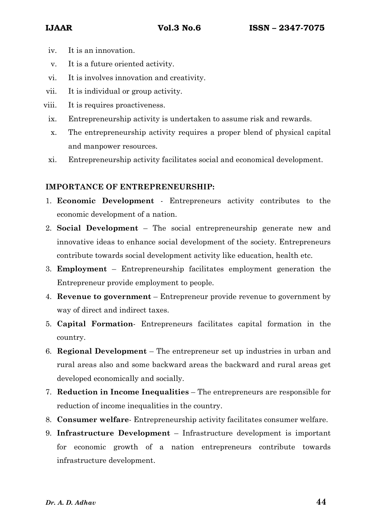- iv. It is an innovation.
- v. It is a future oriented activity.
- vi. It is involves innovation and creativity.
- vii. It is individual or group activity.
- viii. It is requires proactiveness.
- ix. Entrepreneurship activity is undertaken to assume risk and rewards.
- x. The entrepreneurship activity requires a proper blend of physical capital and manpower resources.
- xi. Entrepreneurship activity facilitates social and economical development.

# IMPORTANCE OF ENTREPRENEURSHIP:

- 1. Economic Development Entrepreneurs activity contributes to the economic development of a nation.
- 2. Social Development The social entrepreneurship generate new and innovative ideas to enhance social development of the society. Entrepreneurs contribute towards social development activity like education, health etc.
- 3. Employment Entrepreneurship facilitates employment generation the Entrepreneur provide employment to people.
- 4. Revenue to government Entrepreneur provide revenue to government by way of direct and indirect taxes.
- 5. Capital Formation- Entrepreneurs facilitates capital formation in the country.
- 6. Regional Development The entrepreneur set up industries in urban and rural areas also and some backward areas the backward and rural areas get developed economically and socially.
- 7. Reduction in Income Inequalities The entrepreneurs are responsible for reduction of income inequalities in the country.
- 8. Consumer welfare- Entrepreneurship activity facilitates consumer welfare.
- 9. Infrastructure Development Infrastructure development is important for economic growth of a nation entrepreneurs contribute towards infrastructure development.